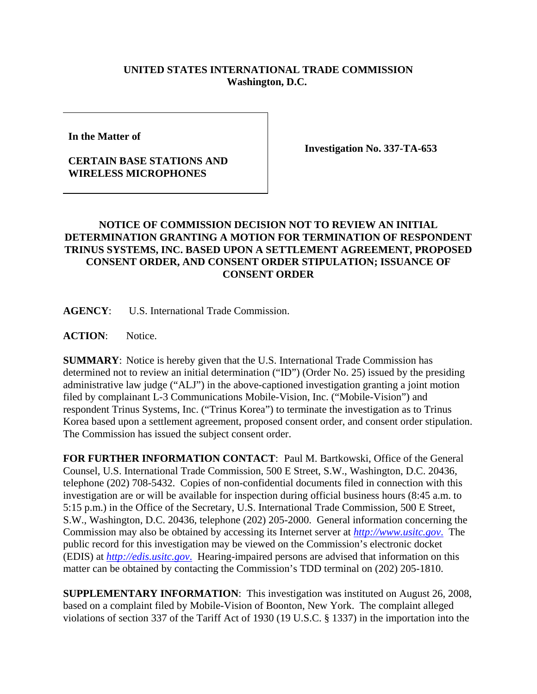## **UNITED STATES INTERNATIONAL TRADE COMMISSION Washington, D.C.**

**In the Matter of** 

## **CERTAIN BASE STATIONS AND WIRELESS MICROPHONES**

**Investigation No. 337-TA-653**

## **NOTICE OF COMMISSION DECISION NOT TO REVIEW AN INITIAL DETERMINATION GRANTING A MOTION FOR TERMINATION OF RESPONDENT TRINUS SYSTEMS, INC. BASED UPON A SETTLEMENT AGREEMENT, PROPOSED CONSENT ORDER, AND CONSENT ORDER STIPULATION; ISSUANCE OF CONSENT ORDER**

**AGENCY**: U.S. International Trade Commission.

**ACTION**: Notice.

**SUMMARY**: Notice is hereby given that the U.S. International Trade Commission has determined not to review an initial determination ("ID") (Order No. 25) issued by the presiding administrative law judge ("ALJ") in the above-captioned investigation granting a joint motion filed by complainant L-3 Communications Mobile-Vision, Inc. ("Mobile-Vision") and respondent Trinus Systems, Inc. ("Trinus Korea") to terminate the investigation as to Trinus Korea based upon a settlement agreement, proposed consent order, and consent order stipulation. The Commission has issued the subject consent order.

**FOR FURTHER INFORMATION CONTACT**: Paul M. Bartkowski, Office of the General Counsel, U.S. International Trade Commission, 500 E Street, S.W., Washington, D.C. 20436, telephone (202) 708-5432. Copies of non-confidential documents filed in connection with this investigation are or will be available for inspection during official business hours (8:45 a.m. to 5:15 p.m.) in the Office of the Secretary, U.S. International Trade Commission, 500 E Street, S.W., Washington, D.C. 20436, telephone (202) 205-2000. General information concerning the Commission may also be obtained by accessing its Internet server at *http://www.usitc.gov*. The public record for this investigation may be viewed on the Commission's electronic docket (EDIS) at *http://edis.usitc.gov*. Hearing-impaired persons are advised that information on this matter can be obtained by contacting the Commission's TDD terminal on (202) 205-1810.

**SUPPLEMENTARY INFORMATION**: This investigation was instituted on August 26, 2008, based on a complaint filed by Mobile-Vision of Boonton, New York. The complaint alleged violations of section 337 of the Tariff Act of 1930 (19 U.S.C. § 1337) in the importation into the